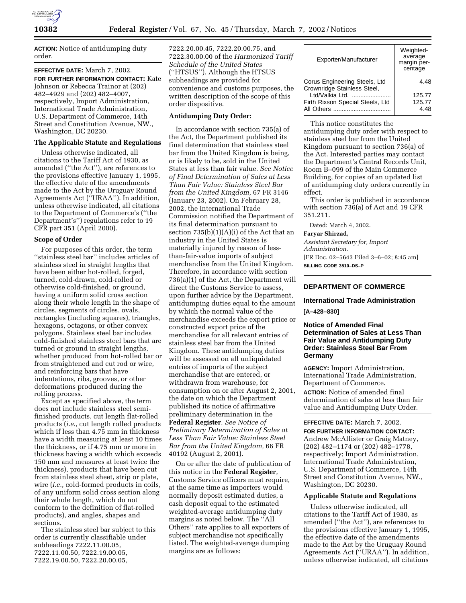

**ACTION:** Notice of antidumping duty order.

## **EFFECTIVE DATE:** March 7, 2002.

**FOR FURTHER INFORMATION CONTACT:** Kate Johnson or Rebecca Trainor at (202) 482–4929 and (202) 482–4007, respectively, Import Administration, International Trade Administration, U.S. Department of Commerce, 14th Street and Constitution Avenue, NW., Washington, DC 20230.

## **The Applicable Statute and Regulations**

Unless otherwise indicated, all citations to the Tariff Act of 1930, as amended (''the Act''), are references to the provisions effective January 1, 1995, the effective date of the amendments made to the Act by the Uruguay Round Agreements Act (''URAA''). In addition, unless otherwise indicated, all citations to the Department of Commerce's (''the Department's'') regulations refer to 19 CFR part 351 (April 2000).

#### **Scope of Order**

For purposes of this order, the term ''stainless steel bar'' includes articles of stainless steel in straight lengths that have been either hot-rolled, forged, turned, cold-drawn, cold-rolled or otherwise cold-finished, or ground, having a uniform solid cross section along their whole length in the shape of circles, segments of circles, ovals, rectangles (including squares), triangles, hexagons, octagons, or other convex polygons. Stainless steel bar includes cold-finished stainless steel bars that are turned or ground in straight lengths, whether produced from hot-rolled bar or from straightened and cut rod or wire, and reinforcing bars that have indentations, ribs, grooves, or other deformations produced during the rolling process.

Except as specified above, the term does not include stainless steel semifinished products, cut length flat-rolled products (*i.e.,* cut length rolled products which if less than 4.75 mm in thickness have a width measuring at least 10 times the thickness, or if 4.75 mm or more in thickness having a width which exceeds 150 mm and measures at least twice the thickness), products that have been cut from stainless steel sheet, strip or plate, wire (*i.e.,* cold-formed products in coils, of any uniform solid cross section along their whole length, which do not conform to the definition of flat-rolled products), and angles, shapes and sections.

The stainless steel bar subject to this order is currently classifiable under subheadings 7222.11.00.05, 7222.11.00.50, 7222.19.00.05, 7222.19.00.50, 7222.20.00.05,

7222.20.00.45, 7222.20.00.75, and 7222.30.00.00 of the *Harmonized Tariff Schedule of the United States* (''HTSUS''). Although the HTSUS subheadings are provided for convenience and customs purposes, the written description of the scope of this order dispositive.

### **Antidumping Duty Order:**

In accordance with section 735(a) of the Act, the Department published its final determination that stainless steel bar from the United Kingdom is being, or is likely to be, sold in the United States at less than fair value. *See Notice of Final Determination of Sales at Less Than Fair Value: Stainless Steel Bar from the United Kingdom,* 67 FR 3146 (January 23, 2002). On February 28, 2002, the International Trade Commission notified the Department of its final determination pursuant to section 735(b)(1)(A)(i) of the Act that an industry in the United States is materially injured by reason of lessthan-fair-value imports of subject merchandise from the United Kingdom. Therefore, in accordance with section 736(a)(1) of the Act, the Department will direct the Customs Service to assess, upon further advice by the Department, antidumping duties equal to the amount by which the normal value of the merchandise exceeds the export price or constructed export price of the merchandise for all relevant entries of stainless steel bar from the United Kingdom. These antidumping duties will be assessed on all unliquidated entries of imports of the subject merchandise that are entered, or withdrawn from warehouse, for consumption on or after August 2, 2001, the date on which the Department published its notice of affirmative preliminary determination in the **Federal Register**. *See Notice of Preliminary Determination of Sales at Less Than Fair Value: Stainless Steel Bar from the United Kingdom,* 66 FR 40192 (August 2, 2001).

On or after the date of publication of this notice in the **Federal Register**, Customs Service officers must require, at the same time as importers would normally deposit estimated duties, a cash deposit equal to the estimated weighted-average antidumping duty margins as noted below. The ''All Others'' rate applies to all exporters of subject merchandise not specifically listed. The weighted-average dumping margins are as follows:

| Exporter/Manufacturer                                        | Weighted-<br>average<br>margin per-<br>centage |
|--------------------------------------------------------------|------------------------------------------------|
| Corus Engineering Steels, Ltd<br>Crownridge Stainless Steel, | 4 48                                           |
| Ltd/Valkia Ltd.                                              | 125.77                                         |
| Firth Rixson Special Steels, Ltd                             | 125.77<br>4 48                                 |

This notice constitutes the antidumping duty order with respect to stainless steel bar from the United Kingdom pursuant to section 736(a) of the Act. Interested parties may contact the Department's Central Records Unit, Room B–099 of the Main Commerce Building, for copies of an updated list of antidumping duty orders currently in effect.

This order is published in accordance with section 736(a) of Act and 19 CFR 351.211.

Dated: March 4, 2002.

#### **Faryar Shirzad,**

*Assistant Secretary for, Import Administration.* [FR Doc. 02–5643 Filed 3–6–02; 8:45 am] **BILLING CODE 3510–DS–P**

## **DEPARTMENT OF COMMERCE**

# **International Trade Administration**

**[A–428–830]**

## **Notice of Amended Final Determination of Sales at Less Than Fair Value and Antidumping Duty Order: Stainless Steel Bar From Germany**

**AGENCY:** Import Administration, International Trade Administration, Department of Commerce.

**ACTION:** Notice of amended final determination of sales at less than fair value and Antidumping Duty Order.

**EFFECTIVE DATE:** March 7, 2002.

**FOR FURTHER INFORMATION CONTACT:** Andrew McAllister or Craig Matney, (202) 482–1174 or (202) 482–1778, respectively; Import Administration, International Trade Administration, U.S. Department of Commerce, 14th Street and Constitution Avenue, NW., Washington, DC 20230.

### **Applicable Statute and Regulations**

Unless otherwise indicated, all citations to the Tariff Act of 1930, as amended (''the Act''), are references to the provisions effective January 1, 1995, the effective date of the amendments made to the Act by the Uruguay Round Agreements Act (''URAA''). In addition, unless otherwise indicated, all citations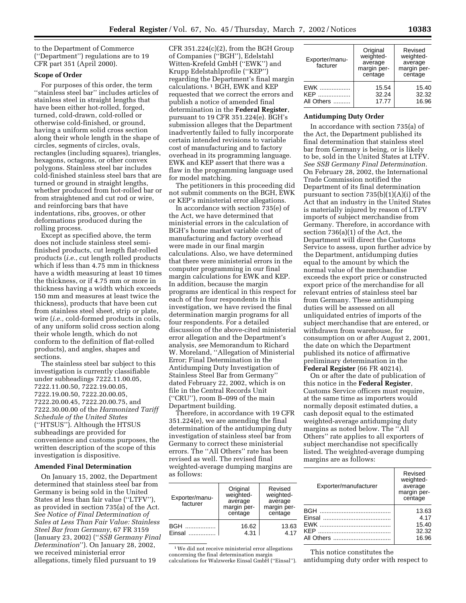to the Department of Commerce (''Department'') regulations are to 19 CFR part 351 (April 2000).

#### **Scope of Order**

For purposes of this order, the term ''stainless steel bar'' includes articles of stainless steel in straight lengths that have been either hot-rolled, forged, turned, cold-drawn, cold-rolled or otherwise cold-finished, or ground, having a uniform solid cross section along their whole length in the shape of circles, segments of circles, ovals, rectangles (including squares), triangles, hexagons, octagons, or other convex polygons. Stainless steel bar includes cold-finished stainless steel bars that are turned or ground in straight lengths, whether produced from hot-rolled bar or from straightened and cut rod or wire, and reinforcing bars that have indentations, ribs, grooves, or other deformations produced during the rolling process.

Except as specified above, the term does not include stainless steel semifinished products, cut length flat-rolled products (*i.e.*, cut length rolled products which if less than 4.75 mm in thickness have a width measuring at least 10 times the thickness, or if 4.75 mm or more in thickness having a width which exceeds 150 mm and measures at least twice the thickness), products that have been cut from stainless steel sheet, strip or plate, wire (*i.e.,* cold-formed products in coils, of any uniform solid cross section along their whole length, which do not conform to the definition of flat-rolled products), and angles, shapes and sections.

The stainless steel bar subject to this investigation is currently classifiable under subheadings 7222.11.00.05, 7222.11.00.50, 7222.19.00.05, 7222.19.00.50, 7222.20.00.05, 7222.20.00.45, 7222.20.00.75, and 7222.30.00.00 of the *Harmonized Tariff Schedule of the United States* (''HTSUS''). Although the HTSUS subheadings are provided for convenience and customs purposes, the written description of the scope of this investigation is dispositive.

#### **Amended Final Determination**

On January 15, 2002, the Department determined that stainless steel bar from Germany is being sold in the United States at less than fair value (''LTFV''), as provided in section 735(a) of the Act. *See Notice of Final Determination of Sales at Less Than Fair Value: Stainless Steel Bar from Germany*, 67 FR 3159 (January 23, 2002) (''*SSB Germany Final Determination*''). On January 28, 2002, we received ministerial error allegations, timely filed pursuant to 19

 $CFR 351.224(c)(2)$ , from the BGH Group of Companies (''BGH''), Edelstahl Witten-Krefeld GmbH (''EWK'') and Krupp Edelstahlprofile (''KEP'') regarding the Department's final margin calculations. 1 BGH, EWK and KEP requested that we correct the errors and publish a notice of amended final determination in the **Federal Register**, pursuant to 19 CFR 351.224(e). BGH's submission alleges that the Department inadvertently failed to fully incorporate certain intended revisions to variable cost of manufacturing and to factory overhead in its programming language. EWK and KEP assert that there was a flaw in the programming language used for model matching.

The petitioners in this proceeding did not submit comments on the BGH, EWK or KEP's ministerial error allegations.

In accordance with section 735(e) of the Act, we have determined that ministerial errors in the calculation of BGH's home market variable cost of manufacturing and factory overhead were made in our final margin calculations. Also, we have determined that there were ministerial errors in the computer programming in our final margin calculations for EWK and KEP. In addition, because the margin programs are identical in this respect for each of the four respondents in this investigation, we have revised the final determination margin programs for all four respondents. For a detailed discussion of the above-cited ministerial error allegation and the Department's analysis, *see* Memorandum to Richard W. Moreland, ''Allegation of Ministerial Error; Final Determination in the Antidumping Duty Investigation of Stainless Steel Bar from Germany'' dated February 22, 2002, which is on file in the Central Records Unit (''CRU''), room B–099 of the main Department building.

Therefore, in accordance with 19 CFR 351.224(e), we are amending the final determination of the antidumping duty investigation of stainless steel bar from Germany to correct these ministerial errors. The ''All Others'' rate has been revised as well. The revised final weighted-average dumping margins are as follows:

| Exporter/manu-<br>facturer  | Original<br>weighted-<br>average<br>margin per-<br>centage | Revised<br>weighted-<br>average<br>margin per-<br>centage |
|-----------------------------|------------------------------------------------------------|-----------------------------------------------------------|
| <b>BGH</b><br><b>Finsal</b> | 16.62<br>4.31                                              | 13.63<br>4.17                                             |

1We did not receive ministerial error allegations concerning the final determination margin calculations for Walzwerke Einsal GmbH (''Einsal'').

| Exporter/manu-<br>facturer | Original<br>weighted-<br>average<br>margin per- | Revised<br>weighted-<br>average<br>margin per- |
|----------------------------|-------------------------------------------------|------------------------------------------------|
|                            | centage                                         | centage                                        |
| $EWK$<br>KEP<br>All Others | 15.54<br>32.24<br>17.77                         | 15.40<br>32.32<br>16.96                        |

#### **Antidumping Duty Order**

In accordance with section 735(a) of the Act, the Department published its final determination that stainless steel bar from Germany is being, or is likely to be, sold in the United States at LTFV. *See SSB Germany Final Determination.* On February 28, 2002, the International Trade Commission notified the Department of its final determination pursuant to section 735(b)(1)(A)(i) of the Act that an industry in the United States is materially injured by reason of LTFV imports of subject merchandise from Germany. Therefore, in accordance with section 736(a)(1) of the Act, the Department will direct the Customs Service to assess, upon further advice by the Department, antidumping duties equal to the amount by which the normal value of the merchandise exceeds the export price or constructed export price of the merchandise for all relevant entries of stainless steel bar from Germany. These antidumping duties will be assessed on all unliquidated entries of imports of the subject merchandise that are entered, or withdrawn from warehouse, for consumption on or after August 2, 2001, the date on which the Department published its notice of affirmative preliminary determination in the **Federal Register** (66 FR 40214).

On or after the date of publication of this notice in the **Federal Register**, Customs Service officers must require, at the same time as importers would normally deposit estimated duties, a cash deposit equal to the estimated weighted-average antidumping duty margins as noted below. The ''All Others'' rate applies to all exporters of subject merchandise not specifically listed. The weighted-average dumping margins are as follows:

| Exporter/manufacturer | Revised<br>weighted-<br>average<br>margin per-<br>centage |
|-----------------------|-----------------------------------------------------------|
|                       | 13.63                                                     |
|                       | 4.17                                                      |
|                       | 15.40                                                     |
|                       | 32.32                                                     |
|                       | 16.96                                                     |
|                       |                                                           |

This notice constitutes the

antidumping duty order with respect to